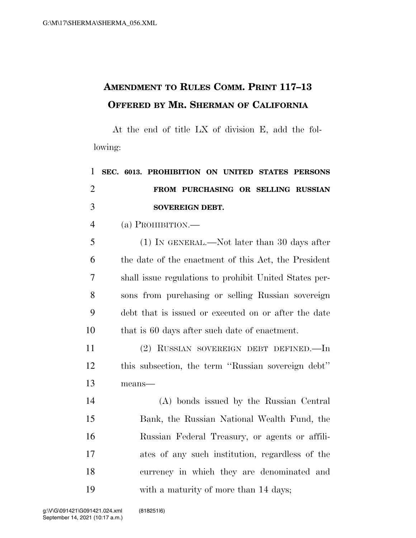## **AMENDMENT TO RULES COMM. PRINT 117–13 OFFERED BY MR. SHERMAN OF CALIFORNIA**

At the end of title LX of division E, add the following:

| $\mathbf{1}$   | SEC. 6013. PROHIBITION ON UNITED STATES PERSONS        |
|----------------|--------------------------------------------------------|
| $\overline{2}$ | FROM PURCHASING OR SELLING RUSSIAN                     |
| 3              | SOVEREIGN DEBT.                                        |
| $\overline{4}$ | (a) PROHIBITION.—                                      |
| 5              | $(1)$ In GENERAL.—Not later than 30 days after         |
| 6              | the date of the enactment of this Act, the President   |
| $\overline{7}$ | shall issue regulations to prohibit United States per- |
| 8              | sons from purchasing or selling Russian sovereign      |
| 9              | debt that is issued or executed on or after the date   |
| 10             | that is 60 days after such date of enactment.          |
| 11             | (2) RUSSIAN SOVEREIGN DEBT DEFINED.—In                 |
| 12             | this subsection, the term "Russian sovereign debt"     |
| 13             | means-                                                 |
| 14             | (A) bonds issued by the Russian Central                |
| 15             | Bank, the Russian National Wealth Fund, the            |
| 16             | Russian Federal Treasury, or agents or affili-         |
| 17             | ates of any such institution, regardless of the        |
| 18             | currency in which they are denominated and             |

with a maturity of more than 14 days;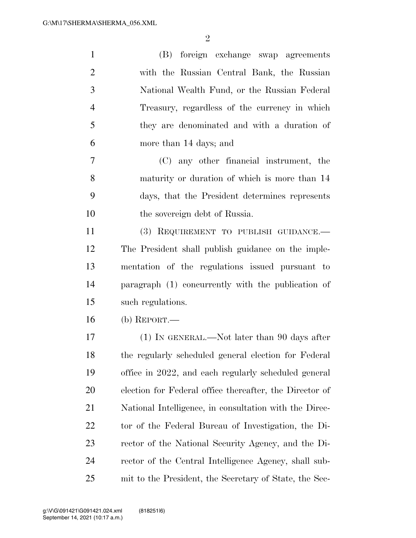| $\mathbf{1}$   | (B) foreign exchange swap agreements                    |
|----------------|---------------------------------------------------------|
| $\overline{2}$ | with the Russian Central Bank, the Russian              |
| 3              | National Wealth Fund, or the Russian Federal            |
| $\overline{4}$ | Treasury, regardless of the currency in which           |
| 5              | they are denominated and with a duration of             |
| 6              | more than 14 days; and                                  |
| 7              | (C) any other financial instrument, the                 |
| 8              | maturity or duration of which is more than 14           |
| 9              | days, that the President determines represents          |
| 10             | the sovereign debt of Russia.                           |
| 11             | (3) REQUIREMENT TO PUBLISH GUIDANCE.-                   |
| 12             | The President shall publish guidance on the imple-      |
| 13             | mentation of the regulations issued pursuant to         |
| 14             | paragraph (1) concurrently with the publication of      |
| 15             | such regulations.                                       |
| 16             | (b) REPORT.—                                            |
| 17             | (1) IN GENERAL.—Not later than 90 days after            |
| 18             | the regularly scheduled general election for Federal    |
| 19             | office in 2022, and each regularly scheduled general    |
| 20             | election for Federal office thereafter, the Director of |
| 21             | National Intelligence, in consultation with the Direc-  |
| 22             | tor of the Federal Bureau of Investigation, the Di-     |
| 23             | rector of the National Security Agency, and the Di-     |
| 24             | rector of the Central Intelligence Agency, shall sub-   |
| 25             | mit to the President, the Secretary of State, the Sec-  |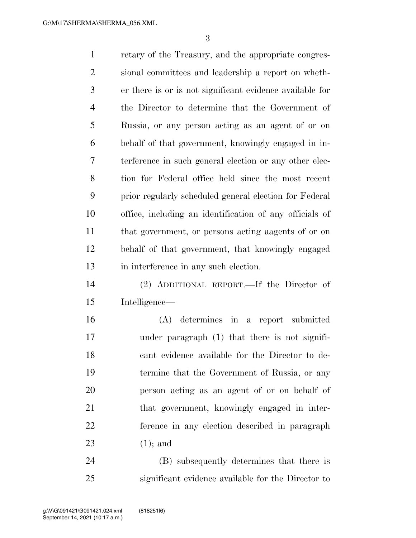retary of the Treasury, and the appropriate congres- sional committees and leadership a report on wheth- er there is or is not significant evidence available for the Director to determine that the Government of Russia, or any person acting as an agent of or on behalf of that government, knowingly engaged in in- terference in such general election or any other elec- tion for Federal office held since the most recent prior regularly scheduled general election for Federal office, including an identification of any officials of that government, or persons acting aagents of or on behalf of that government, that knowingly engaged in interference in any such election. (2) ADDITIONAL REPORT.—If the Director of Intelligence— (A) determines in a report submitted under paragraph (1) that there is not signifi- cant evidence available for the Director to de- termine that the Government of Russia, or any person acting as an agent of or on behalf of that government, knowingly engaged in inter- ference in any election described in paragraph (1); and

 (B) subsequently determines that there is significant evidence available for the Director to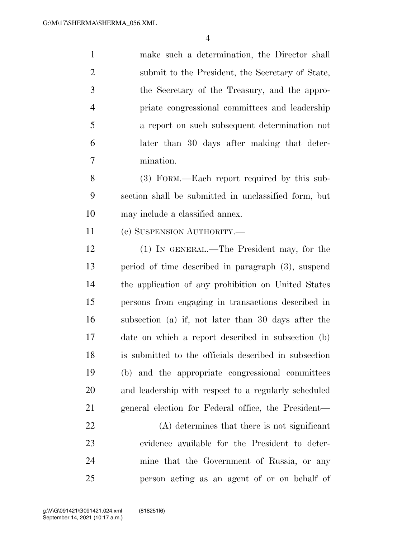make such a determination, the Director shall submit to the President, the Secretary of State, the Secretary of the Treasury, and the appro- priate congressional committees and leadership a report on such subsequent determination not later than 30 days after making that deter-mination.

 (3) FORM.—Each report required by this sub- section shall be submitted in unclassified form, but may include a classified annex.

11 (c) SUSPENSION AUTHORITY.—

 (1) IN GENERAL.—The President may, for the period of time described in paragraph (3), suspend the application of any prohibition on United States persons from engaging in transactions described in subsection (a) if, not later than 30 days after the date on which a report described in subsection (b) is submitted to the officials described in subsection (b) and the appropriate congressional committees and leadership with respect to a regularly scheduled general election for Federal office, the President—

 (A) determines that there is not significant evidence available for the President to deter- mine that the Government of Russia, or any person acting as an agent of or on behalf of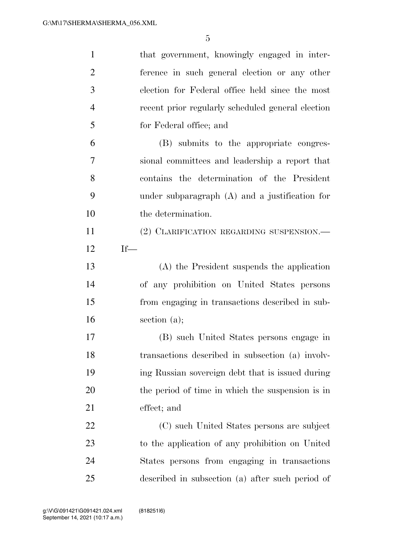| $\mathbf{1}$   | that government, knowingly engaged in inter-      |
|----------------|---------------------------------------------------|
| $\overline{2}$ | ference in such general election or any other     |
| 3              | election for Federal office held since the most   |
| $\overline{4}$ | recent prior regularly scheduled general election |
| 5              | for Federal office; and                           |
| 6              | (B) submits to the appropriate congres-           |
| 7              | sional committees and leadership a report that    |
| 8              | contains the determination of the President       |
| 9              | under subparagraph $(A)$ and a justification for  |
| 10             | the determination.                                |
| 11             | (2) CLARIFICATION REGARDING SUSPENSION.-          |
| 12             | $If-$                                             |
| 13             | (A) the President suspends the application        |
| 14             | of any prohibition on United States persons       |
| 15             | from engaging in transactions described in sub-   |
| 16             | section $(a)$ ;                                   |
| 17             | (B) such United States persons engage in          |
| 18             | transactions described in subsection (a) involv-  |
| 19             | ing Russian sovereign debt that is issued during  |
| 20             | the period of time in which the suspension is in  |
| 21             | effect; and                                       |
| 22             | (C) such United States persons are subject        |
| 23             | to the application of any prohibition on United   |
| 24             | States persons from engaging in transactions      |
| 25             | described in subsection (a) after such period of  |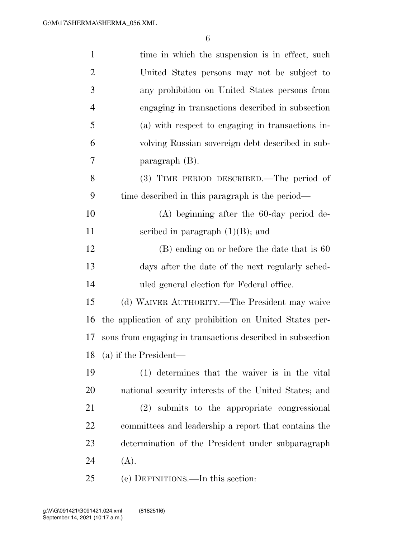| $\mathbf{1}$   | time in which the suspension is in effect, such            |
|----------------|------------------------------------------------------------|
| $\overline{2}$ | United States persons may not be subject to                |
| 3              | any prohibition on United States persons from              |
| $\overline{4}$ | engaging in transactions described in subsection           |
| 5              | (a) with respect to engaging in transactions in-           |
| 6              | volving Russian sovereign debt described in sub-           |
| 7              | paragraph $(B)$ .                                          |
| 8              | (3) TIME PERIOD DESCRIBED.—The period of                   |
| 9              | time described in this paragraph is the period—            |
| 10             | $(A)$ beginning after the 60-day period de-                |
| 11             | scribed in paragraph $(1)(B)$ ; and                        |
| 12             | $(B)$ ending on or before the date that is 60              |
| 13             | days after the date of the next regularly sched-           |
| 14             | uled general election for Federal office.                  |
| 15             | (d) WAIVER AUTHORITY.—The President may waive              |
| 16             | the application of any prohibition on United States per-   |
| 17             | sons from engaging in transactions described in subsection |
|                | 18 (a) if the President—                                   |
| 19             | (1) determines that the waiver is in the vital             |
| 20             | national security interests of the United States; and      |
| 21             | (2) submits to the appropriate congressional               |
| <u>22</u>      | committees and leadership a report that contains the       |
| 23             | determination of the President under subparagraph          |
| 24             | (A).                                                       |
| 25             | (e) DEFINITIONS.—In this section:                          |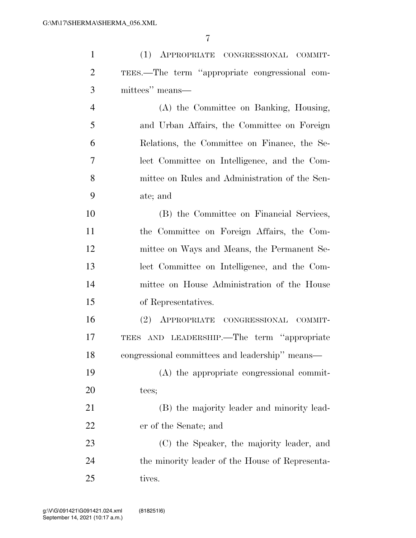(1) APPROPRIATE CONGRESSIONAL COMMIT-

| $\overline{2}$ | TEES.—The term "appropriate congressional com-  |
|----------------|-------------------------------------------------|
| 3              | mittees" means—                                 |
| $\overline{4}$ | (A) the Committee on Banking, Housing,          |
| 5              | and Urban Affairs, the Committee on Foreign     |
| 6              | Relations, the Committee on Finance, the Se-    |
| 7              | lect Committee on Intelligence, and the Com-    |
| 8              | mittee on Rules and Administration of the Sen-  |
| 9              | ate; and                                        |
| 10             | (B) the Committee on Financial Services,        |
| 11             | the Committee on Foreign Affairs, the Com-      |
| 12             | mittee on Ways and Means, the Permanent Se-     |
| 13             | lect Committee on Intelligence, and the Com-    |
| 14             | mittee on House Administration of the House     |
| 15             | of Representatives.                             |
| 16             | APPROPRIATE CONGRESSIONAL COMMIT-<br>(2)        |
| 17             | TEES AND LEADERSHIP. The term "appropriate      |
| 18             | congressional committees and leadership" means— |
| 19             | (A) the appropriate congressional commit-       |
| 20             | tees;                                           |
| 21             | (B) the majority leader and minority lead-      |
| 22             | er of the Senate; and                           |
| 23             | (C) the Speaker, the majority leader, and       |
| 24             | the minority leader of the House of Representa- |
| 25             | tives.                                          |
|                |                                                 |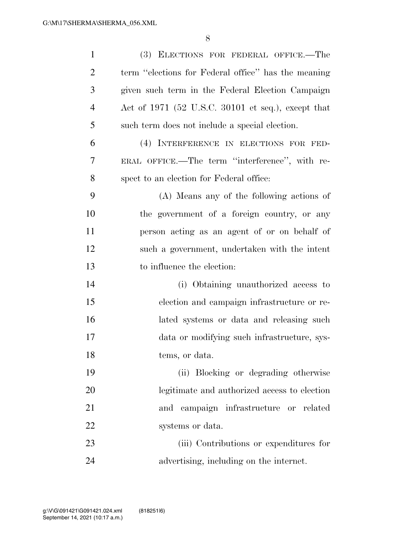| $\mathbf{1}$   | (3) ELECTIONS FOR FEDERAL OFFICE.-The               |
|----------------|-----------------------------------------------------|
| $\overline{2}$ | term "elections for Federal office" has the meaning |
| 3              | given such term in the Federal Election Campaign    |
| $\overline{4}$ | Act of 1971 (52 U.S.C. 30101 et seq.), except that  |
| 5              | such term does not include a special election.      |
| 6              | (4) INTERFERENCE IN ELECTIONS FOR FED-              |
| 7              | ERAL OFFICE.—The term "interference", with re-      |
| 8              | spect to an election for Federal office:            |
| 9              | (A) Means any of the following actions of           |
| 10             | the government of a foreign country, or any         |
| 11             | person acting as an agent of or on behalf of        |
| 12             | such a government, undertaken with the intent       |
| 13             | to influence the election:                          |
| 14             | (i) Obtaining unauthorized access to                |
| 15             | election and campaign infrastructure or re-         |
| 16             | lated systems or data and releasing such            |
| 17             | data or modifying such infrastructure, sys-         |
| 18             | tems, or data.                                      |
| 19             | (ii) Blocking or degrading otherwise                |
| 20             | legitimate and authorized access to election        |
| 21             | and campaign infrastructure or related              |
| 22             | systems or data.                                    |
| 23             | (iii) Contributions or expenditures for             |
| 24             | advertising, including on the internet.             |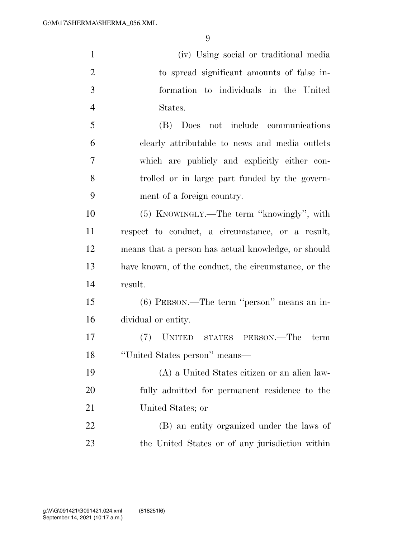| $\mathbf{1}$   | (iv) Using social or traditional media               |
|----------------|------------------------------------------------------|
| $\overline{2}$ | to spread significant amounts of false in-           |
| 3              | formation to individuals in the United               |
| $\overline{4}$ | States.                                              |
| 5              | (B) Does not include communications                  |
| 6              | clearly attributable to news and media outlets       |
| 7              | which are publicly and explicitly either con-        |
| 8              | trolled or in large part funded by the govern-       |
| 9              | ment of a foreign country.                           |
| 10             | (5) KNOWINGLY.—The term "knowingly", with            |
| 11             | respect to conduct, a circumstance, or a result,     |
| 12             | means that a person has actual knowledge, or should  |
| 13             | have known, of the conduct, the circumstance, or the |
| 14             | result.                                              |
| 15             | $(6)$ PERSON.—The term "person" means an in-         |
| 16             | dividual or entity.                                  |
| 17             | (7) UNITED STATES PERSON.—The<br>term                |
| 18             | "United States person" means-                        |
| 19             | (A) a United States citizen or an alien law-         |
| 20             | fully admitted for permanent residence to the        |
| 21             | United States; or                                    |
| 22             | (B) an entity organized under the laws of            |
| 23             | the United States or of any jurisdiction within      |
|                |                                                      |